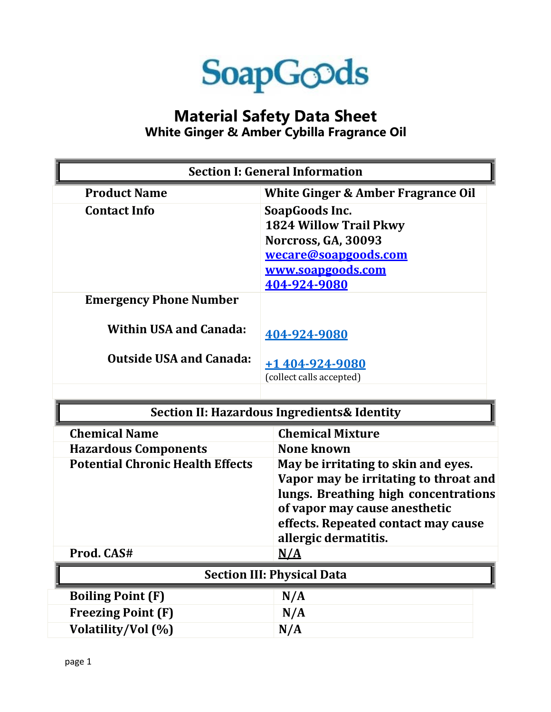

## **Material Safety Data Sheet White Ginger & Amber Cybilla Fragrance Oil**

| <b>Section I: General Information</b>   |                                                         |
|-----------------------------------------|---------------------------------------------------------|
| <b>Product Name</b>                     | White Ginger & Amber Fragrance Oil                      |
| <b>Contact Info</b>                     | SoapGoods Inc.                                          |
|                                         | <b>1824 Willow Trail Pkwy</b>                           |
|                                         | <b>Norcross, GA, 30093</b>                              |
|                                         | wecare@soapgoods.com                                    |
|                                         | www.soapgoods.com                                       |
|                                         | 404-924-9080                                            |
| <b>Emergency Phone Number</b>           |                                                         |
|                                         |                                                         |
| <b>Within USA and Canada:</b>           | 404-924-9080                                            |
| <b>Outside USA and Canada:</b>          |                                                         |
|                                         | +1 404-924-9080                                         |
|                                         | (collect calls accepted)                                |
|                                         |                                                         |
|                                         |                                                         |
|                                         | <b>Section II: Hazardous Ingredients &amp; Identity</b> |
| <b>Chemical Name</b>                    | <b>Chemical Mixture</b>                                 |
| <b>Hazardous Components</b>             | None known                                              |
| <b>Potential Chronic Health Effects</b> | May be irritating to skin and eyes.                     |
|                                         | Vapor may be irritating to throat and                   |
|                                         | lungs. Breathing high concentrations                    |
|                                         | of vapor may cause anesthetic                           |
|                                         | effects. Repeated contact may cause                     |
|                                         | allergic dermatitis.                                    |
| Prod. CAS#                              | <u>N/A</u>                                              |
|                                         | <b>Section III: Physical Data</b>                       |
| <b>Boiling Point (F)</b>                | N/A                                                     |
| <b>Freezing Point (F)</b>               | N/A                                                     |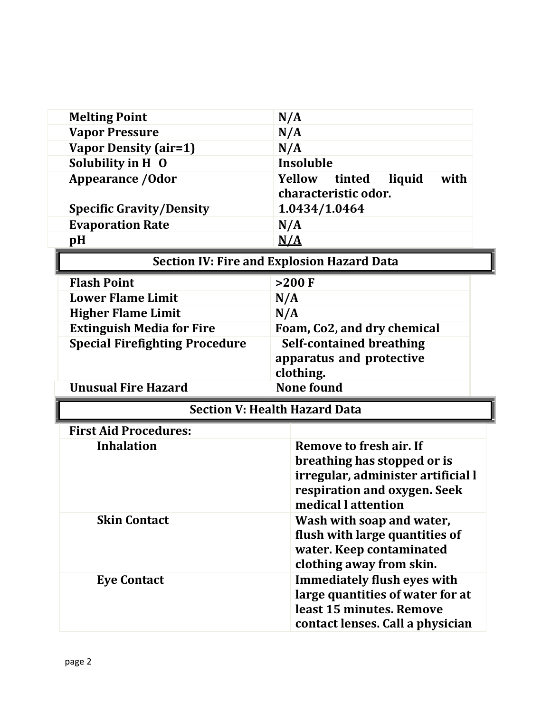| <b>Melting Point</b>                              | N/A                                                          |  |
|---------------------------------------------------|--------------------------------------------------------------|--|
| <b>Vapor Pressure</b>                             | N/A                                                          |  |
| <b>Vapor Density (air=1)</b>                      | N/A                                                          |  |
| Solubility in H 0                                 | Insoluble                                                    |  |
| <b>Appearance / Odor</b>                          | Yellow<br>liquid<br>with<br>tinted<br>characteristic odor.   |  |
| <b>Specific Gravity/Density</b>                   | 1.0434/1.0464                                                |  |
| <b>Evaporation Rate</b>                           | N/A                                                          |  |
| pH                                                | N/A                                                          |  |
| <b>Section IV: Fire and Explosion Hazard Data</b> |                                                              |  |
| <b>Flash Point</b>                                | $>200$ F                                                     |  |
| <b>Lower Flame Limit</b>                          | N/A                                                          |  |
| <b>Higher Flame Limit</b>                         | N/A                                                          |  |
| <b>Extinguish Media for Fire</b>                  | Foam, Co2, and dry chemical                                  |  |
| <b>Special Firefighting Procedure</b>             | <b>Self-contained breathing</b>                              |  |
|                                                   | apparatus and protective                                     |  |
|                                                   | clothing.                                                    |  |
| <b>Unusual Fire Hazard</b>                        | <b>None found</b>                                            |  |
|                                                   | <b>Section V: Health Hazard Data</b>                         |  |
| <b>First Aid Procedures:</b>                      |                                                              |  |
| <b>Inhalation</b>                                 | <b>Remove to fresh air. If</b>                               |  |
|                                                   | breathing has stopped or is                                  |  |
|                                                   | irregular, administer artificial l                           |  |
|                                                   | respiration and oxygen. Seek                                 |  |
|                                                   | medical l attention                                          |  |
| <b>Skin Contact</b>                               | Wash with soap and water,                                    |  |
|                                                   | flush with large quantities of                               |  |
|                                                   | water. Keep contaminated                                     |  |
|                                                   | clothing away from skin.                                     |  |
| <b>Eye Contact</b>                                | <b>Immediately flush eyes with</b>                           |  |
|                                                   | large quantities of water for at<br>least 15 minutes. Remove |  |
|                                                   |                                                              |  |
|                                                   | contact lenses. Call a physician                             |  |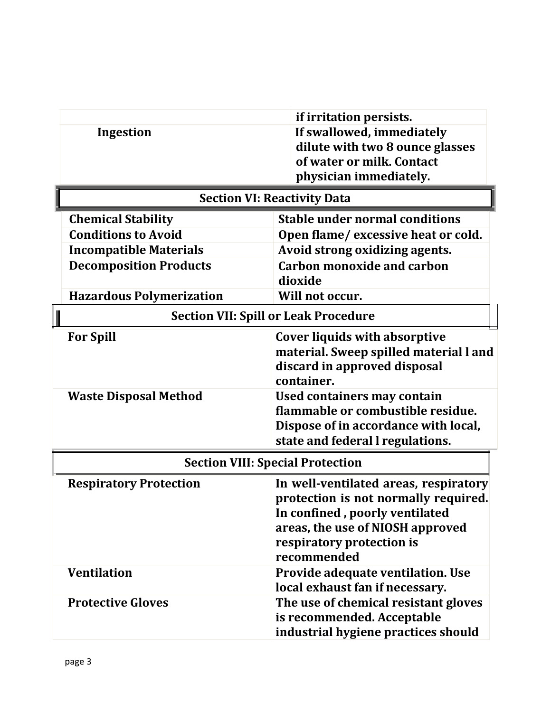|                                             | if irritation persists.                                                  |  |
|---------------------------------------------|--------------------------------------------------------------------------|--|
| Ingestion                                   | If swallowed, immediately                                                |  |
|                                             | dilute with two 8 ounce glasses                                          |  |
|                                             | of water or milk. Contact                                                |  |
|                                             | physician immediately.                                                   |  |
| <b>Section VI: Reactivity Data</b>          |                                                                          |  |
| <b>Chemical Stability</b>                   | <b>Stable under normal conditions</b>                                    |  |
| <b>Conditions to Avoid</b>                  | Open flame/excessive heat or cold.                                       |  |
| <b>Incompatible Materials</b>               | Avoid strong oxidizing agents.                                           |  |
| <b>Decomposition Products</b>               | <b>Carbon monoxide and carbon</b><br>dioxide                             |  |
| <b>Hazardous Polymerization</b>             | Will not occur.                                                          |  |
| <b>Section VII: Spill or Leak Procedure</b> |                                                                          |  |
| <b>For Spill</b>                            | <b>Cover liquids with absorptive</b>                                     |  |
|                                             | material. Sweep spilled material l and                                   |  |
|                                             | discard in approved disposal                                             |  |
|                                             | container.                                                               |  |
| <b>Waste Disposal Method</b>                | <b>Used containers may contain</b><br>flammable or combustible residue.  |  |
|                                             |                                                                          |  |
|                                             | Dispose of in accordance with local,<br>state and federal I regulations. |  |
|                                             |                                                                          |  |
|                                             | <b>Section VIII: Special Protection</b>                                  |  |
| <b>Respiratory Protection</b>               | In well-ventilated areas, respiratory                                    |  |
|                                             | protection is not normally required.                                     |  |
|                                             | In confined, poorly ventilated                                           |  |
|                                             | areas, the use of NIOSH approved                                         |  |
|                                             | respiratory protection is<br>recommended                                 |  |
| <b>Ventilation</b>                          | Provide adequate ventilation. Use                                        |  |
|                                             | local exhaust fan if necessary.                                          |  |
| <b>Protective Gloves</b>                    | The use of chemical resistant gloves                                     |  |
|                                             | is recommended. Acceptable                                               |  |
|                                             | industrial hygiene practices should                                      |  |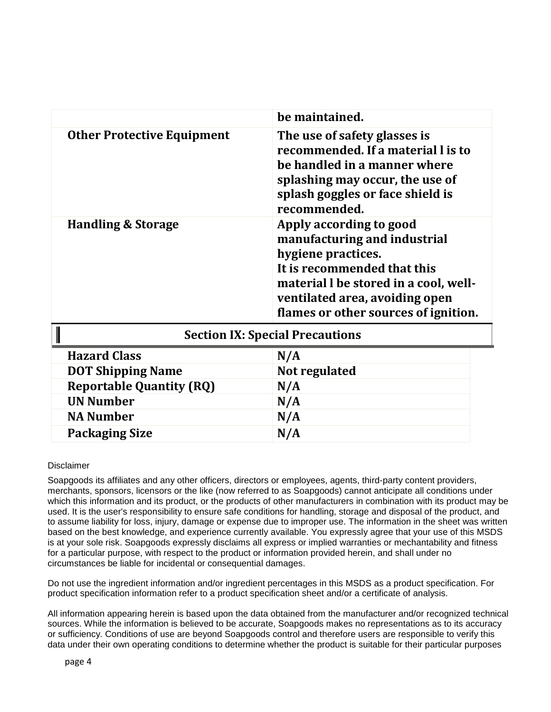|                                   | be maintained.                                                                                                                                                                                                                  |
|-----------------------------------|---------------------------------------------------------------------------------------------------------------------------------------------------------------------------------------------------------------------------------|
| <b>Other Protective Equipment</b> | The use of safety glasses is<br>recommended. If a material l is to<br>be handled in a manner where<br>splashing may occur, the use of<br>splash goggles or face shield is<br>recommended.                                       |
| <b>Handling &amp; Storage</b>     | Apply according to good<br>manufacturing and industrial<br>hygiene practices.<br>It is recommended that this<br>material I be stored in a cool, well-<br>ventilated area, avoiding open<br>flames or other sources of ignition. |

| <b>Section IX: Special Precautions</b> |               |
|----------------------------------------|---------------|
| <b>Hazard Class</b>                    | N/A           |
| <b>DOT Shipping Name</b>               | Not regulated |
| <b>Reportable Quantity (RQ)</b>        | N/A           |
| <b>UN Number</b>                       | N/A           |
| <b>NA Number</b>                       | N/A           |
| <b>Packaging Size</b>                  | N/A           |

## **Disclaimer**

Soapgoods its affiliates and any other officers, directors or employees, agents, third-party content providers, merchants, sponsors, licensors or the like (now referred to as Soapgoods) cannot anticipate all conditions under which this information and its product, or the products of other manufacturers in combination with its product may be used. It is the user's responsibility to ensure safe conditions for handling, storage and disposal of the product, and to assume liability for loss, injury, damage or expense due to improper use. The information in the sheet was written based on the best knowledge, and experience currently available. You expressly agree that your use of this MSDS is at your sole risk. Soapgoods expressly disclaims all express or implied warranties or mechantability and fitness for a particular purpose, with respect to the product or information provided herein, and shall under no circumstances be liable for incidental or consequential damages.

Do not use the ingredient information and/or ingredient percentages in this MSDS as a product specification. For product specification information refer to a product specification sheet and/or a certificate of analysis.

All information appearing herein is based upon the data obtained from the manufacturer and/or recognized technical sources. While the information is believed to be accurate, Soapgoods makes no representations as to its accuracy or sufficiency. Conditions of use are beyond Soapgoods control and therefore users are responsible to verify this data under their own operating conditions to determine whether the product is suitable for their particular purposes